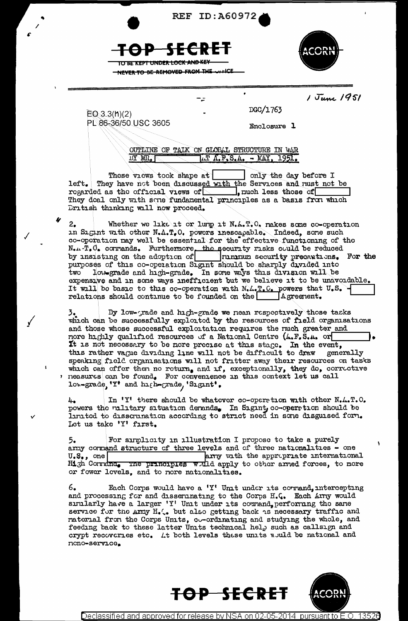





1 June 1951

NEVER TO BE REMOVED FROM THE

PL 86-36/50 USC 3605

 $EO 3.3(h)(2)$ 

Enclosure 1

DGC/1763

OUTLINE OF TALK ON GLOBAL STRUCTURE IN WAR  $1. T A. F.S.A. - NAY, 1951.$ na mu'r

These views took shape at | only the day before I They have not been discussed with the Services and rust not be left. regarded as the official views of  $\Box$ , much less those of They deal only with sene fundamental principles as a basis from which Eritish thinking will now proceed.

Whether we like it or lurp it N.A.T.O. nakes some co-operation  $2.$ in Sigint with other N.A.T.O. powers inescapable. Indeed, some such co-operation may well be essential for the effective functioning of the N.1. T. C. corrands. Furthermore the security risks could be reduced<br>by insisting on the adoption of running security precautions. For the<br>purposes of this co-operation Signit should be sharply divided into two low-grade and high-grade. In some ways this division will be expensive and in some ways inefficient but we believe it to be unavoidable. It will be basic to this co-operation with N.L.T.C. powers that U.S. 4<br>relations should continue to be founded on the Agreement.

By low-grade and high-grade we nean respectively those tasks which can be successfully exploited by the resources of field organisations and those whose successful exploitation requires the nuch greater and nore highly qualified resources of a National Centre (A.F.S.A. or It is not necessary to be nore precise at this stage. In the event, this rather vague dividing line will not be difficult to draw generally speaking field organisations will not fritter away their resources on tasks<br>which can offer then no return, and if, exceptionally, they do, corrective<br>reasures can be found. For convenience in this context let us call low-grade, 'Y' and high-grade, 'Sigint',

In 'Y' there should be whatever co-operation with other N.A.T.O. 4. powers the ullitary situation derands. In Sigint co-operation should be limited to dissemination according to strict need in some disguised form. Let us take 'Y' first.

For simplicity in illustration I propose to take a purely 5. army cormand structure of three levels and of three nationalities - one  $U_{\bullet}S_{\bullet}$ , one arry with the appropriate international High Corrana. The principles will apply to other arned forces, to more or fower levels, and to nore nationalities.

Each Corps would have a 'Y' Unit under its cormand, intercepting  $6.$ and processing for and disseminating to the Corps H.C. Each Arry would similarly have a larger 'Y' Unit under its comand, performing the same service for the arry H.C. but also getting back as necessary traffic and raterial from the Corps Units, co-ordinating and studying the whole, and feeding back to these latter Units technical help such as callsign and crypt recoveries etc. At both levels these units would be national and nono-service.





Declassified and approved for release by NSA on 0 13526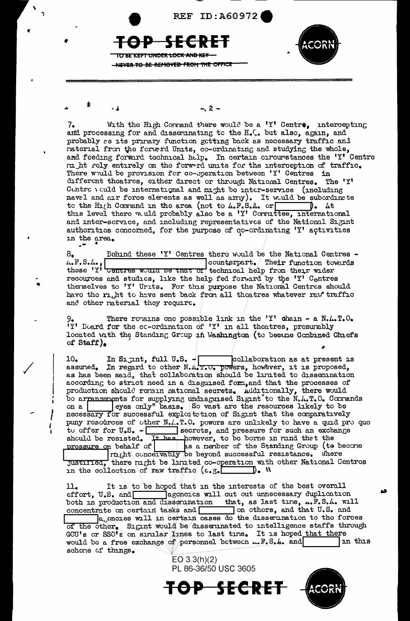

 $-2 -$ 

- 1

With the High Cornand there would be a 'Y' Centre, intercepting 7. and processing for and disseminating to the H.C. but also, again, and probably as its primary function getting back as necessary traffic and naterial from the forward Units, co-ordinating and studying the whole, and foeding forward technical help. In certain circumstances the 'Y' Centre m ht rely entirely on the forward units for the interception of traffic. There would be provision for co-operation between 'Y' Centres in different theatres, either direct or through National Centres. The 'Y' Centre veuld be international and might be inter-service (including navel and air force elevents as well as arry). It would be subordinate to the H<sub>1</sub>(h Cornand in the area (not to  $A.F.S.A.$  or  $\Box$ ). At this level there would probably also be a 'Y' Cornities, international and inter-service, and including representatives of the National Sigint authorities concerned, for the purpose of co-ordinating 'Y' activities in the area.  $\overline{a}$ 

Behind these 'Y' Centres there would be the National Centres - $8_{\bullet}$ the F.S.A., Contres would be that or technical help from their wider  $| {\rm counterpart}_\bullet \, / \,$  Their function towards recources and studies, like the help fed forward by the 'Y' Centres thenselves to 'Y' Urits. For this purpose the National Centres should have the right to have sent back from all theatres whatever raw traffic and other raterial they require.

There remains one possible link in the 'Y' chain - a  $N_{\bullet}L_{\bullet}T_{\bullet}O_{\bullet}$ 'Y' Board for the co-ordination of 'Y' in all theatres, presumably located with the Standing Group in Washington (to became Combined Chiefs of Staff).

10. In Signat, full U.S. - collaboration as at present is<br>assumed. In regard to other N.4. T.U. powers, however, it is proposed, collaboration as at present is as has been said, that collaboration should be limited to dissemination according to strict need in a disguised form, and that the processes of production should remain national secrets. Additionally, there would<br>be arrangements for supplying undisguised Signat to the N.A.T.O. Commands eyes only" basis. So vast are the resources likely to be on  $a$  | necessary for successful exploitetion of Sigint that the comparatively puny resources of other N.I.T.O. powers are unlikely to have a quid pro quo<br>to offer for U.S. - secrets, and pressure for such an exchange<br>should be resisted. These however, to be borne in rind the t the<br>pressure on behalf Justified, there uight be limited co-operation with other National Centres in the collection of raw traffic  $(c, g)$  $\Box$ ). W

It is to be hoped that in the interests of the best overall 11. effort, U.S. and agencies will cut out unnecessary duplication both in production and dissemination that, as last time, ... F.S.A. will concentrate on certain tasks and set on others, and that U.S. and a encies will in certain cases do the dissemination to the forces of the other. Sigint would be disseminated to intelligence staffs through GCU's or SSO's on similar lines to last time. It is hoped that there would be a free exchange of personnel between  $...$   $F.S.A.$  and in this schene of things.

 $EO 3.3(h)(2)$ PL 86-36/50 USC 3605

TOP SECRET

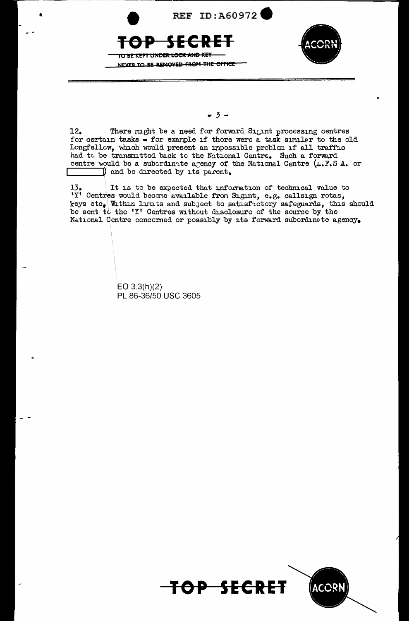

 $-3-$ 

12. There rught be a need for forward S<sub>15</sub>1nt processing centres for certain tasks  $\overline{\bullet}$  for example if there were a task similar to the old Longfellow, which would present an impossible problom if all traffic had to be transmitted back to the National Centre. Such a forward centre would be a subcrdinate agency of the National Centre  $(L, F, S, A,$  or **I** and be directed by its parent.

 $13.$  It is to be expected that information of technical value to 'Y' Centres would become available fron Sigint, e.g. callsign rotas, keys etc, Within limits and subject to satisfictory safeguards, this should be sent to the 'Y' Centres without disclosure of the source by the National Centre concorned or possibly by its forward subordinate agency.

> EO 3.3(h)(2) PL 86-36/50 USC 3605

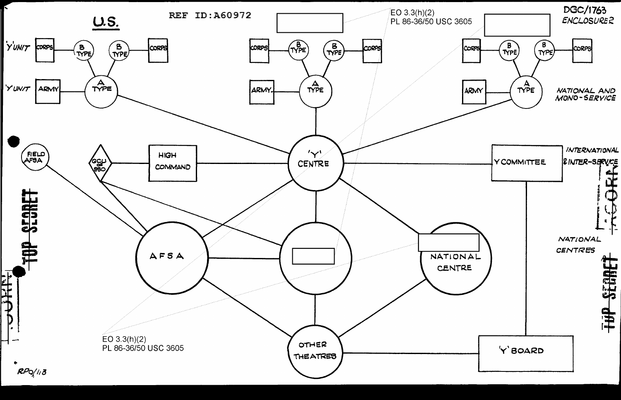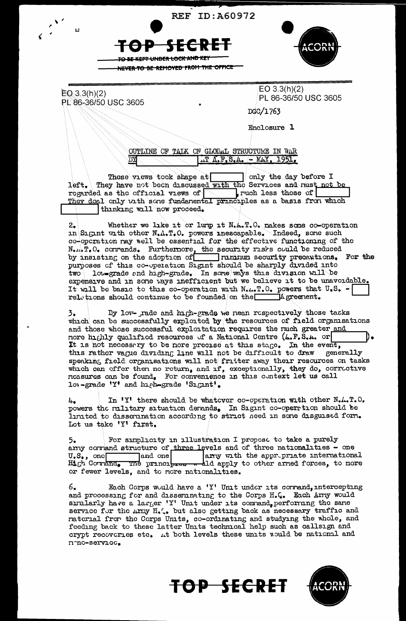**REF ID: A60972** 

KEP<del>T HNDER LOC</del>K



 $EO(3.3(h)(2))$ PL 86-36/50 USC 3605

 $\mathbf{L}$ 

 $EO 3.3(h)(2)$ PL 86-36/50 USC 3605

DGC/1763

Enclosure 1

OUTLINE OF TAIK ON GLOBAL STRUCTURE IN WAR  $\Lambda$ .  $F$ .  $S$ .  $A$ . - MAY, 1951.

These views took shape at only the day before I left. They have not been discussed with the Services and must not be regarded as the official views of  $\sim$  which less those of They doal only with some fundamental principles as a basis from which thinking will now proceed.

Whether we like it or lurp it N.A.T.O. makes some co-operation  $2.$ in Sigint with other  $N_4 \Lambda_* T_* 0$ . powers inescapable. Indeed, some such co-operation may well be essential for the effective functioning of the  $N_{\bullet}$ .  $T_{\bullet}$  O. corrands. Furthermore, the security risks could be reduced by insisting on the adoption of numium security precautions. For the purposes of this co-operation Sigint should be sharply divided into  $\overline{\text{two}}$  low-grade and high-grade. In some ways this division will be expensive and in some ways inefficient but we believe it to be unavoidable. It will be basic to this co-operation with Netter. O. powers that U.S. relations should continue to be founded on the  $\Box$  $\exists$ Agreement.

By low- rade and high-grade we nean respectively those tasks  $\overline{3}$ which can be successfully exploited by the resources of field organisations and those whose successful exploitation requires the ruch greater and nore highly qualified resources of a National Centre (4.F.S.A. or It is not necessary to be nore precise at this stage. In the event, this rather vague dividing line will not be difficult to draw generally speaking field organisations will not fritter away their resources on tasks which can offer then no return, and if, exceptionally, they do, corrective measures can be found. For convenience in this context let us call low-grade 'Y' and high-grade 'Sigint'.

In 'Y' there should be whatever co-operation with other N.A.T.O.  $l_{\pm}$ powers the military situation demnds. In Sigint co-operation should be lunited to dissemination according to strict need in some disguised form. Lot us take 'Y' first.

For simplicity in illustration I propose to take a purely  $5.$ arry corrand structure of three levels and of three nationalities - one U.S., one and one arry with the appropriate internations and one arry with the appropriate international<br>The principles . ald apply to other arred forces, to more  $U.S., \text{ one}$ High Cormana, or fewer levels, and to more nationalities.

Each Corps would have a 'Y' Unit under its corrand, intercepting 6. and processing for and disseminating to the Corps H.C. Each Army would similarly have a larger 'Y' Unit under its command, performing the same service for the Army H.C. but also getting back as necessary traffic and material from the Corps Units, co-ordinating and studying the whole, and feeding back to these latter Units technical help such as callsign and crypt recoveries etc. At both levels these units would be national and nmo-service.



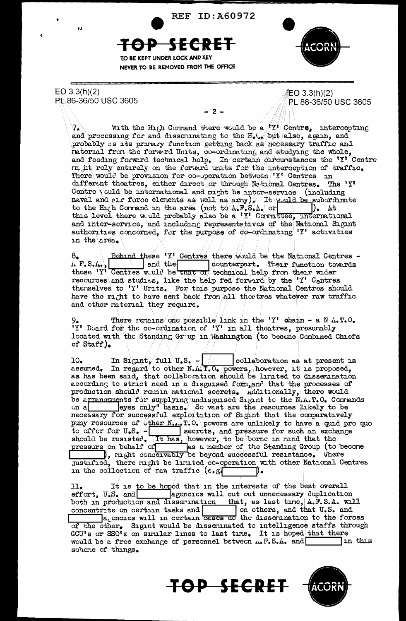**REF ID: A60972** 



 $EO 3.3(h)(2)$ PL 86-36/50 USC 3605

 $\overline{1}$ 

 $EO 3.3(h)(2)$ PL 86-36/50 USC 3605

 $-2-$ 

With the High Cormand there would be a  $\frac{1}{2}$  Centre, intercepting and processing for and disseminating to the  $H_*(\sqrt{b}nt$  also, again, and probably es its primacy function getting back as necessary traffic and raterial from the forward Units, co-ordinating and studying the whole, and feeding forward technical help. In certain circumstances the 'Y' Centre m ht rely entirely on the forward units for the interception of traffic. There would be provision for co-operation between 'Y' Centres in different theatres, either direct or through Netional Centres. The 'Y' Centre \ culd be international and might be inter-service (including naval and  $\text{par}$  force elements as well as  $(\text{army})$  it would be subordinate to the High Cormand in the area (not to  $\mu$ , F. S.A. or  $\vert \cdot \vert$  at this level there would probably also be a 'Y' Corruttee, international and inter-service, and including representatives of the National Sigint authorities concerned, for the purpose of co-ordinating 'Y' activities in the area.

 $B_{\bullet}$  Behind these 'Y' Centres there would be the National Centres -<br>  $L F_{\bullet} S_{\bullet}$ . Behind these 'Y' Centres and the counterpart. Their function towards<br>
these 'Y' Centres would be they or technical help from their wid recources and studies, like the help fed forward by the 'Y' Centres thenselves to 'Y' Urits. For this purpose the National Centres should have the night to have sent back from all thee tres whatever raw traffic and other raterial they require.

There remains one possible link in the 'Y' chain - a N  $L$ . T.O. 'Y' Board for the co-ordination of  $'Y'$  in all theatres, presumbly located with the Standing Grup in Mashington (to became Combined Chiefs of Staff).

In Sigint, full  $\mathbf{U}_\bullet$ S.  $-\sqrt{\phantom{a^2}}$ collaboration as at present is  $10<sub>o</sub>$ assumed. In regard to other N.A.T.O. powers, however, it is proposed, as has been said, that collaboration should be limited to dissemination according to strict need in a disguised form, and that the processes of production should remain national secrets. Additionally, there would be arrangements for supplying undisguised Sigint to the N.A.T.O. Commands eyes only" basis. So vast are the resources likely to be  $\cup$ n a necessary for successful exploit tion of Sigint that the comparatively puny resources of ther N.1, T.O. powers are unlikely to have a quid pro quo to offer for U.S. - secrets, and pressure for such an exchange<br>should be resisted. It has, however, to be borne in mind that the<br>pressure on behalf of as a nember of the Standing Group (to become<br>), might concervably be be justified, there might be limited co-operation with other National Centres in the collection of raw traffic (e.g) ⊃∙

 $11.$ It is to be hoped that in the interests of the best overall effort, U.S. and agencies will cut out unnecessary duplication both in production and disserination that, as last time, A.F.S.A. will concentrite on certain tasks and  $\boxed{\phantom{\text{m}}\phantom{\text{m}}\text{on}}$  on others, and that U.S. and  $\boxed{\phantom{\text{m}}\text{a}}$  and  $\boxed{\text{m}}$  on others, and that U.S. and of the other. Sigint would be disseminated to intelligence staffs through GCU's or SSO's on similar lines to last time. It is hoped that there would be a free exchange of personnel between ... F.S.A. and In this schene of things.



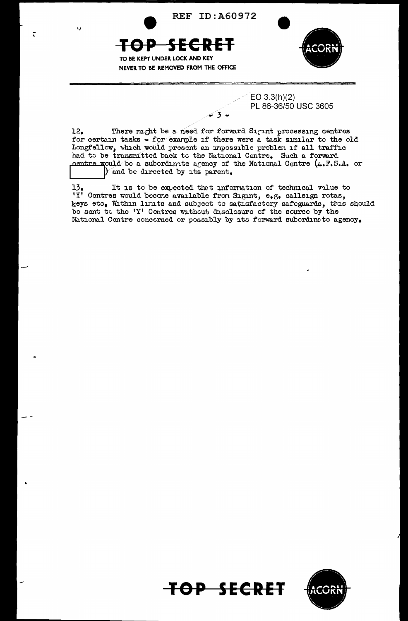**REF ID: A60972** 

ولا

<del>TOP</del>





 $EO 3.3(h)(2)$ PL 86-36/50 USC 3605

There might be a need for forward Sigint processing centres  $12.$ for certain tasks - for example if there were a task similar to the old Longfellow, which would present an impossible problem if all traffic had to be transmitted back to the National Centre. Such a forward centre would be a subordinate agency of the National Centre  $(\mu, \mathbb{F}, S.A.$  or ) and be directed by its parent.

 $3 -$ 

13. It is to be expected that information of socialisign rotas,<br>'Y' Centres would become available from Signt, e.g. callsign rotas, It is to be expected that information of technical value to keys etc. Within limits and subject to satisfactory safeguards, this should be sent to the 'Y' Centres without disclosure of the source by the National Centre concerned or possibly by its forward subordinate agency.